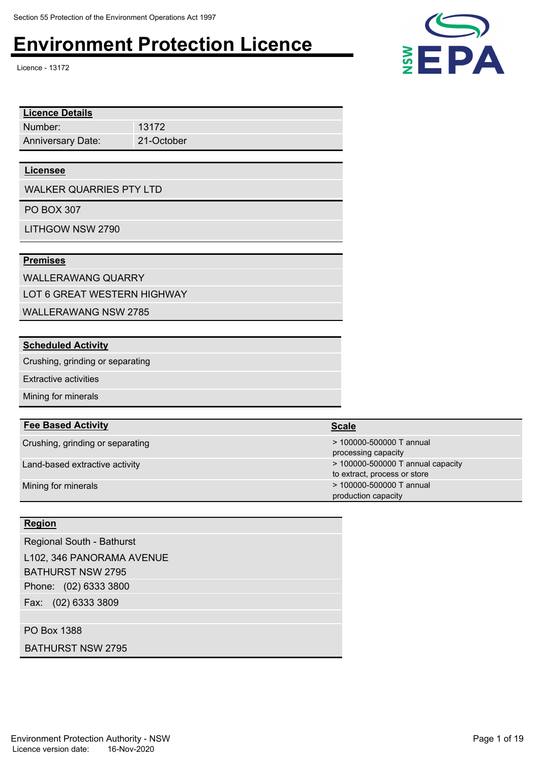Licence - 13172

| <b>Licence Details</b>                 |       |  |  |  |
|----------------------------------------|-------|--|--|--|
| Number:                                | 13172 |  |  |  |
| <b>Anniversary Date:</b><br>21-October |       |  |  |  |
|                                        |       |  |  |  |
| Licensee                               |       |  |  |  |
| <b>WALKER QUARRIES PTY LTD</b>         |       |  |  |  |

PO BOX 307

LITHGOW NSW 2790

#### **Premises**

WALLERAWANG QUARRY

LOT 6 GREAT WESTERN HIGHWAY

WALLERAWANG NSW 2785

#### **Scheduled Activity**

Crushing, grinding or separating

Extractive activities

Mining for minerals

#### **Fee Based Activity**

Crushing, grinding or separating

Land-based extractive activity

Mining for minerals

#### **Region**

Phone: (02) 6333 3800 Fax: (02) 6333 3809 Regional South - Bathurst L102, 346 PANORAMA AVENUE BATHURST NSW 2795

PO Box 1388

BATHURST NSW 2795

 $\sum_{\mathbf{E}} \mathbf{P} \mathbf{A}$ 

| <b>Scale</b>                                                        |
|---------------------------------------------------------------------|
| > 100000-500000 T annual<br>processing capacity                     |
| $>$ 100000-500000 T annual capacity<br>to extract, process or store |
| > 100000-500000 T annual<br>production capacity                     |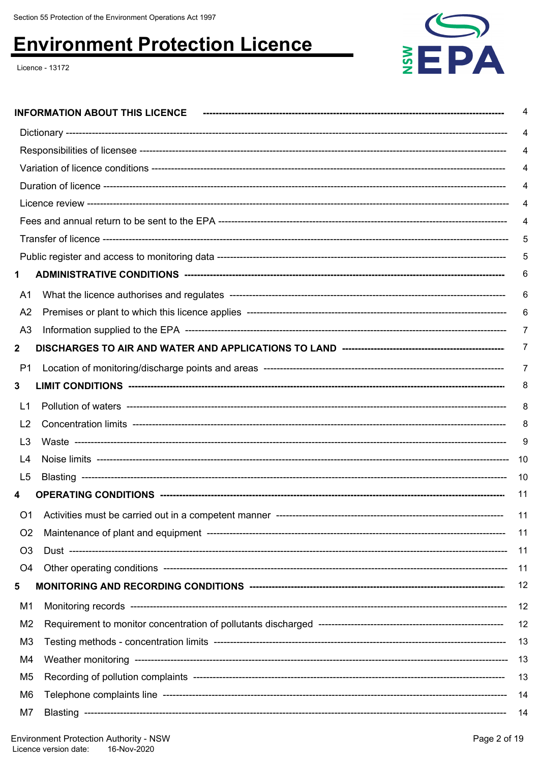Licence - 13172



|                | <b>INFORMATION ABOUT THIS LICENCE</b> | 4   |
|----------------|---------------------------------------|-----|
|                |                                       | 4   |
|                |                                       | 4   |
|                |                                       | 4   |
|                |                                       |     |
|                |                                       | 4   |
|                |                                       |     |
|                |                                       | 5   |
|                |                                       | 5   |
| 1              |                                       | 6   |
| A <sub>1</sub> |                                       | 6   |
| A <sub>2</sub> |                                       | 6   |
| A <sub>3</sub> |                                       | 7   |
| $\mathbf{2}$   |                                       | 7   |
| P1             |                                       | 7   |
| 3              |                                       | 8   |
| L1             |                                       | 8   |
| L <sub>2</sub> |                                       | 8   |
| L <sub>3</sub> |                                       | 9   |
| L4             |                                       | -10 |
| L <sub>5</sub> |                                       | 10  |
| 4              |                                       | 11  |
| O <sub>1</sub> |                                       | 11  |
| O <sub>2</sub> |                                       | 11  |
| O <sub>3</sub> |                                       | 11  |
| O <sub>4</sub> |                                       | 11  |
| 5              |                                       | 12  |
| M1             |                                       | 12  |
| M <sub>2</sub> |                                       | 12  |
| M <sub>3</sub> |                                       | 13  |
| M4             |                                       | 13  |
| M <sub>5</sub> |                                       | 13  |
| M6             |                                       | 14  |
| M7             |                                       | 14  |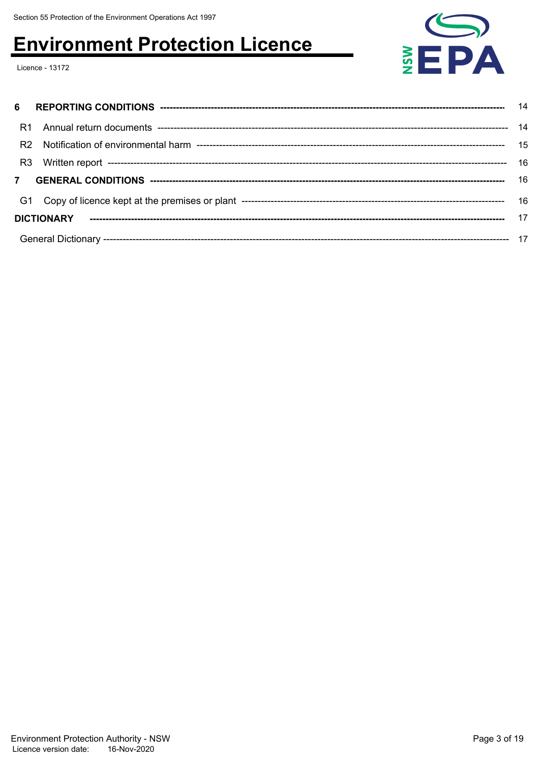Licence - 13172



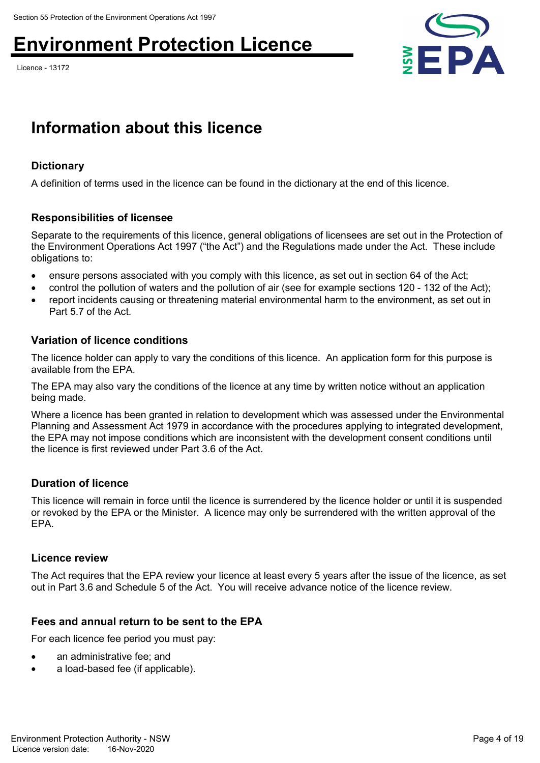Licence - 13172



## **Information about this licence**

### **Dictionary**

A definition of terms used in the licence can be found in the dictionary at the end of this licence.

### **Responsibilities of licensee**

Separate to the requirements of this licence, general obligations of licensees are set out in the Protection of the Environment Operations Act 1997 ("the Act") and the Regulations made under the Act. These include obligations to:

- ensure persons associated with you comply with this licence, as set out in section 64 of the Act;
- control the pollution of waters and the pollution of air (see for example sections 120 132 of the Act);
- report incidents causing or threatening material environmental harm to the environment, as set out in Part 5.7 of the Act.

#### **Variation of licence conditions**

The licence holder can apply to vary the conditions of this licence. An application form for this purpose is available from the EPA.

The EPA may also vary the conditions of the licence at any time by written notice without an application being made.

Where a licence has been granted in relation to development which was assessed under the Environmental Planning and Assessment Act 1979 in accordance with the procedures applying to integrated development, the EPA may not impose conditions which are inconsistent with the development consent conditions until the licence is first reviewed under Part 3.6 of the Act.

### **Duration of licence**

This licence will remain in force until the licence is surrendered by the licence holder or until it is suspended or revoked by the EPA or the Minister. A licence may only be surrendered with the written approval of the EPA.

#### **Licence review**

The Act requires that the EPA review your licence at least every 5 years after the issue of the licence, as set out in Part 3.6 and Schedule 5 of the Act. You will receive advance notice of the licence review.

### **Fees and annual return to be sent to the EPA**

For each licence fee period you must pay:

- an administrative fee; and
- a load-based fee (if applicable).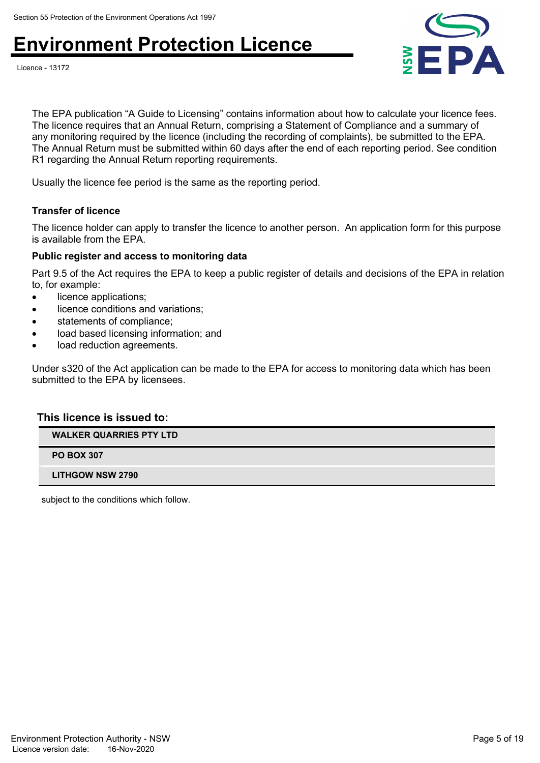



The EPA publication "A Guide to Licensing" contains information about how to calculate your licence fees. The licence requires that an Annual Return, comprising a Statement of Compliance and a summary of any monitoring required by the licence (including the recording of complaints), be submitted to the EPA. The Annual Return must be submitted within 60 days after the end of each reporting period. See condition R1 regarding the Annual Return reporting requirements.

Usually the licence fee period is the same as the reporting period.

#### **Transfer of licence**

The licence holder can apply to transfer the licence to another person. An application form for this purpose is available from the EPA.

#### **Public register and access to monitoring data**

Part 9.5 of the Act requires the EPA to keep a public register of details and decisions of the EPA in relation to, for example:

- licence applications;
- licence conditions and variations;
- statements of compliance;
- load based licensing information; and
- load reduction agreements.

Under s320 of the Act application can be made to the EPA for access to monitoring data which has been submitted to the EPA by licensees.

#### **This licence is issued to:**

**WALKER QUARRIES PTY LTD**

**PO BOX 307**

**LITHGOW NSW 2790**

subject to the conditions which follow.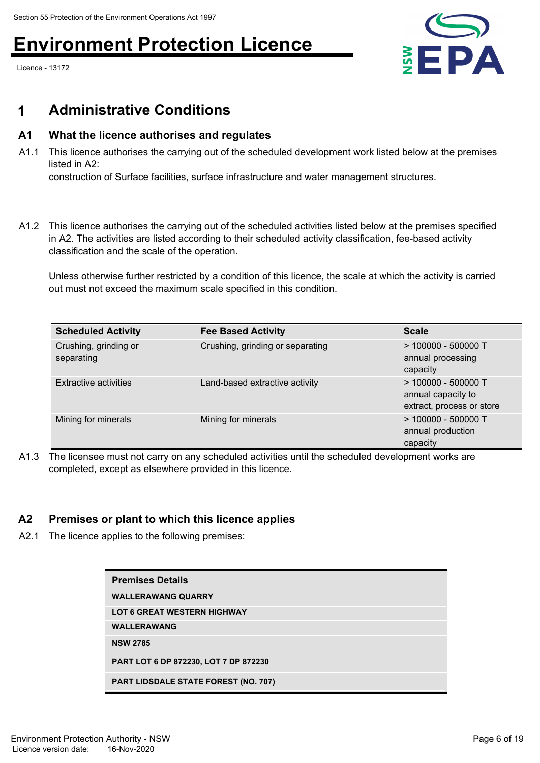Licence - 13172



## **1 Administrative Conditions**

### **A1 What the licence authorises and regulates**

A1.1 This licence authorises the carrying out of the scheduled development work listed below at the premises listed in A2:

construction of Surface facilities, surface infrastructure and water management structures.

A1.2 This licence authorises the carrying out of the scheduled activities listed below at the premises specified in A2. The activities are listed according to their scheduled activity classification, fee-based activity classification and the scale of the operation.

Unless otherwise further restricted by a condition of this licence, the scale at which the activity is carried out must not exceed the maximum scale specified in this condition.

| <b>Scheduled Activity</b>           | <b>Fee Based Activity</b>        | <b>Scale</b>                                                             |
|-------------------------------------|----------------------------------|--------------------------------------------------------------------------|
| Crushing, grinding or<br>separating | Crushing, grinding or separating | $>$ 100000 - 500000 T<br>annual processing<br>capacity                   |
| <b>Extractive activities</b>        | Land-based extractive activity   | $>$ 100000 - 500000 T<br>annual capacity to<br>extract, process or store |
| Mining for minerals                 | Mining for minerals              | $>$ 100000 - 500000 T<br>annual production<br>capacity                   |

A1.3 The licensee must not carry on any scheduled activities until the scheduled development works are completed, except as elsewhere provided in this licence.

### **A2 Premises or plant to which this licence applies**

A2.1 The licence applies to the following premises:

| <b>Premises Details</b>                     |
|---------------------------------------------|
| <b>WALLERAWANG QUARRY</b>                   |
| <b>LOT 6 GREAT WESTERN HIGHWAY</b>          |
| <b>WALLERAWANG</b>                          |
| <b>NSW 2785</b>                             |
| PART LOT 6 DP 872230, LOT 7 DP 872230       |
| <b>PART LIDSDALE STATE FOREST (NO. 707)</b> |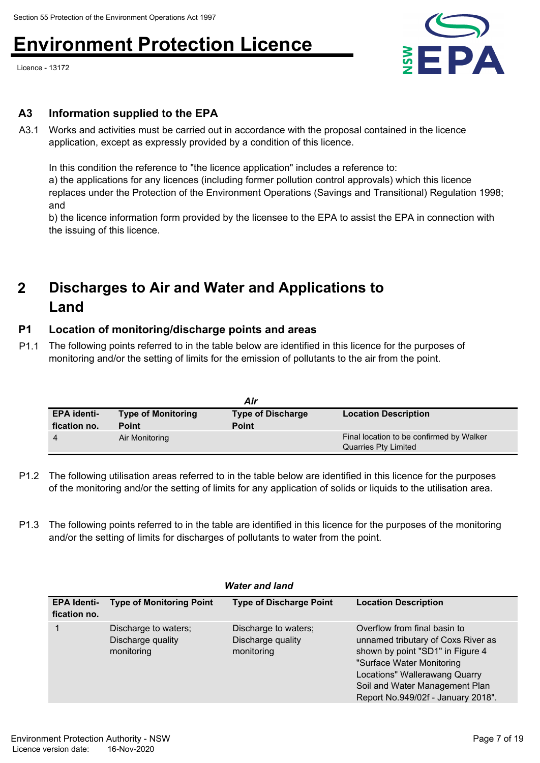Licence - 13172



### **A3 Information supplied to the EPA**

A3.1 Works and activities must be carried out in accordance with the proposal contained in the licence application, except as expressly provided by a condition of this licence.

In this condition the reference to "the licence application" includes a reference to:

a) the applications for any licences (including former pollution control approvals) which this licence replaces under the Protection of the Environment Operations (Savings and Transitional) Regulation 1998; and

b) the licence information form provided by the licensee to the EPA to assist the EPA in connection with the issuing of this licence.

#### **Discharges to Air and Water and Applications to Land 2**

### **P1 Location of monitoring/discharge points and areas**

P1.1 The following points referred to in the table below are identified in this licence for the purposes of monitoring and/or the setting of limits for the emission of pollutants to the air from the point.

|                    |                           | Air                      |                                          |
|--------------------|---------------------------|--------------------------|------------------------------------------|
| <b>EPA identi-</b> | <b>Type of Monitoring</b> | <b>Type of Discharge</b> | <b>Location Description</b>              |
| fication no.       | <b>Point</b>              | <b>Point</b>             |                                          |
|                    | Air Monitoring            |                          | Final location to be confirmed by Walker |
|                    |                           |                          | Quarries Pty Limited                     |

- P1.2 The following utilisation areas referred to in the table below are identified in this licence for the purposes of the monitoring and/or the setting of limits for any application of solids or liquids to the utilisation area.
- P1.3 The following points referred to in the table are identified in this licence for the purposes of the monitoring and/or the setting of limits for discharges of pollutants to water from the point.

|                                    | <b>Water and land</b>                                   |                                                         |                                                                                                                                                                                                                                              |  |  |  |
|------------------------------------|---------------------------------------------------------|---------------------------------------------------------|----------------------------------------------------------------------------------------------------------------------------------------------------------------------------------------------------------------------------------------------|--|--|--|
| <b>EPA Identi-</b><br>fication no. | <b>Type of Monitoring Point</b>                         | <b>Type of Discharge Point</b>                          | <b>Location Description</b>                                                                                                                                                                                                                  |  |  |  |
|                                    | Discharge to waters;<br>Discharge quality<br>monitoring | Discharge to waters;<br>Discharge quality<br>monitoring | Overflow from final basin to<br>unnamed tributary of Coxs River as<br>shown by point "SD1" in Figure 4<br>"Surface Water Monitoring<br>Locations" Wallerawang Quarry<br>Soil and Water Management Plan<br>Report No.949/02f - January 2018". |  |  |  |
|                                    |                                                         |                                                         |                                                                                                                                                                                                                                              |  |  |  |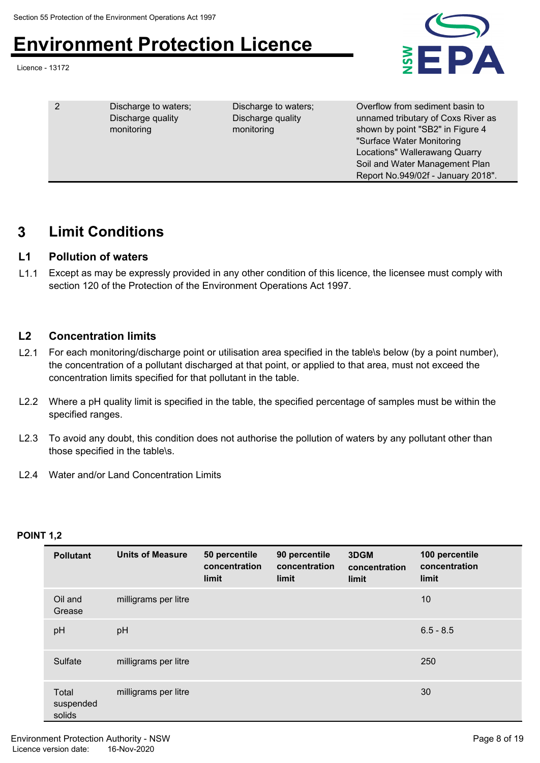Licence - 13172

EPA **MSI** 

 2 Discharge to waters; Discharge quality monitoring

Discharge to waters; Discharge quality monitoring

Overflow from sediment basin to unnamed tributary of Coxs River as shown by point "SB2" in Figure 4 "Surface Water Monitoring Locations" Wallerawang Quarry Soil and Water Management Plan Report No.949/02f - January 2018".

## **3 Limit Conditions**

### **L1 Pollution of waters**

L1.1 Except as may be expressly provided in any other condition of this licence, the licensee must comply with section 120 of the Protection of the Environment Operations Act 1997.

### **L2 Concentration limits**

- L2.1 For each monitoring/discharge point or utilisation area specified in the table\s below (by a point number), the concentration of a pollutant discharged at that point, or applied to that area, must not exceed the concentration limits specified for that pollutant in the table.
- L2.2 Where a pH quality limit is specified in the table, the specified percentage of samples must be within the specified ranges.
- L2.3 To avoid any doubt, this condition does not authorise the pollution of waters by any pollutant other than those specified in the table\s.
- L2.4 Water and/or Land Concentration Limits

### **POINT 1,2**

| <b>Pollutant</b>             | <b>Units of Measure</b> | 50 percentile<br>concentration<br>limit | 90 percentile<br>concentration<br>limit | 3DGM<br>concentration<br>limit | 100 percentile<br>concentration<br>limit |
|------------------------------|-------------------------|-----------------------------------------|-----------------------------------------|--------------------------------|------------------------------------------|
| Oil and<br>Grease            | milligrams per litre    |                                         |                                         |                                | 10                                       |
| pH                           | pH                      |                                         |                                         |                                | $6.5 - 8.5$                              |
| Sulfate                      | milligrams per litre    |                                         |                                         |                                | 250                                      |
| Total<br>suspended<br>solids | milligrams per litre    |                                         |                                         |                                | 30                                       |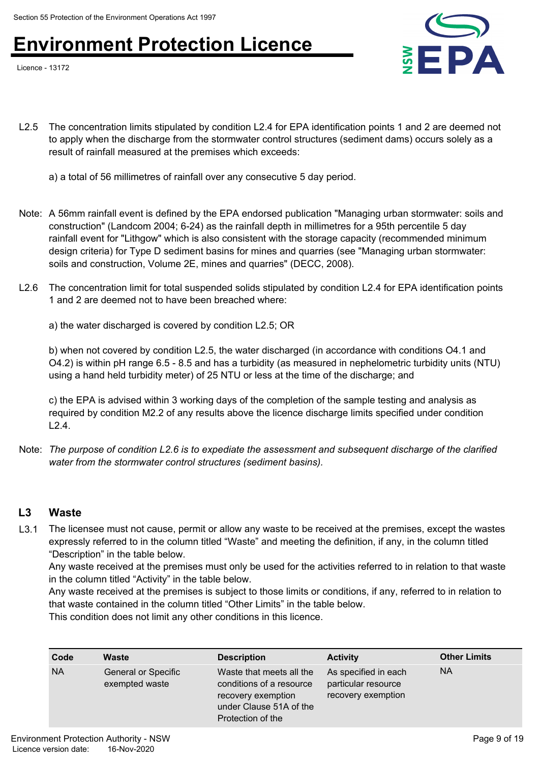Licence - 13172



L2.5 The concentration limits stipulated by condition L2.4 for EPA identification points 1 and 2 are deemed not to apply when the discharge from the stormwater control structures (sediment dams) occurs solely as a result of rainfall measured at the premises which exceeds:

a) a total of 56 millimetres of rainfall over any consecutive 5 day period.

- Note: A 56mm rainfall event is defined by the EPA endorsed publication "Managing urban stormwater: soils and construction" (Landcom 2004; 6-24) as the rainfall depth in millimetres for a 95th percentile 5 day rainfall event for "Lithgow" which is also consistent with the storage capacity (recommended minimum design criteria) for Type D sediment basins for mines and quarries (see "Managing urban stormwater: soils and construction, Volume 2E, mines and quarries" (DECC, 2008).
- L2.6 The concentration limit for total suspended solids stipulated by condition L2.4 for EPA identification points 1 and 2 are deemed not to have been breached where:

a) the water discharged is covered by condition L2.5; OR

b) when not covered by condition L2.5, the water discharged (in accordance with conditions O4.1 and O4.2) is within pH range 6.5 - 8.5 and has a turbidity (as measured in nephelometric turbidity units (NTU) using a hand held turbidity meter) of 25 NTU or less at the time of the discharge; and

c) the EPA is advised within 3 working days of the completion of the sample testing and analysis as required by condition M2.2 of any results above the licence discharge limits specified under condition L2.4.

Note: *The purpose of condition L2.6 is to expediate the assessment and subsequent discharge of the clarified water from the stormwater control structures (sediment basins).*

### **L3 Waste**

L3.1 The licensee must not cause, permit or allow any waste to be received at the premises, except the wastes expressly referred to in the column titled "Waste" and meeting the definition, if any, in the column titled "Description" in the table below.

Any waste received at the premises must only be used for the activities referred to in relation to that waste in the column titled "Activity" in the table below.

Any waste received at the premises is subject to those limits or conditions, if any, referred to in relation to that waste contained in the column titled "Other Limits" in the table below.

This condition does not limit any other conditions in this licence.

| Code      | Waste                                        | <b>Description</b>                                                                                                         | <b>Activity</b>                                                   | <b>Other Limits</b> |
|-----------|----------------------------------------------|----------------------------------------------------------------------------------------------------------------------------|-------------------------------------------------------------------|---------------------|
| <b>NA</b> | <b>General or Specific</b><br>exempted waste | Waste that meets all the<br>conditions of a resource<br>recovery exemption<br>under Clause 51A of the<br>Protection of the | As specified in each<br>particular resource<br>recovery exemption | <b>NA</b>           |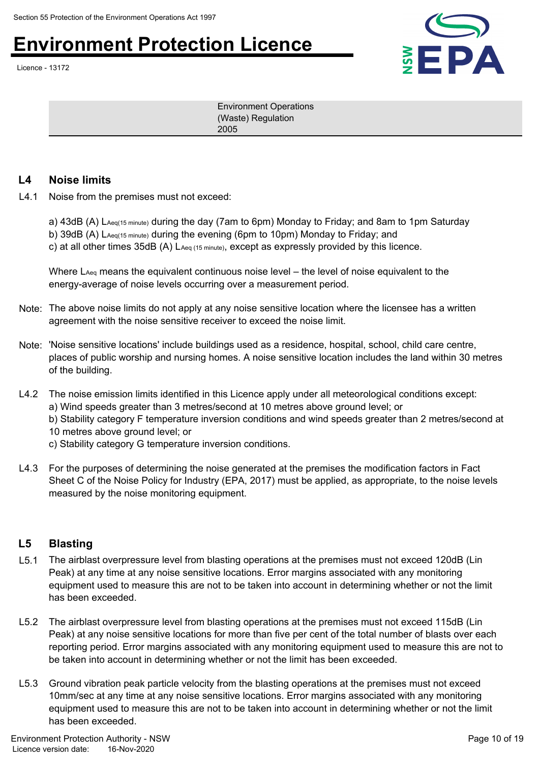Licence - 13172



Environment Operations (Waste) Regulation 2005

### **L4 Noise limits**

- L4.1 Noise from the premises must not exceed:
	- a) 43dB (A) LAeq(15 minute) during the day (7am to 6pm) Monday to Friday; and 8am to 1pm Saturday
	- b) 39dB (A) LAeq(15 minute) during the evening (6pm to 10pm) Monday to Friday; and
	- c) at all other times 35dB (A) L<sub>Aeq (15 minute)</sub>, except as expressly provided by this licence.

Where  $\text{L}_\text{Aeq}$  means the equivalent continuous noise level – the level of noise equivalent to the energy-average of noise levels occurring over a measurement period.

- Note: The above noise limits do not apply at any noise sensitive location where the licensee has a written agreement with the noise sensitive receiver to exceed the noise limit.
- Note: 'Noise sensitive locations' include buildings used as a residence, hospital, school, child care centre, places of public worship and nursing homes. A noise sensitive location includes the land within 30 metres of the building.
- L4.2 The noise emission limits identified in this Licence apply under all meteorological conditions except: a) Wind speeds greater than 3 metres/second at 10 metres above ground level; or b) Stability category F temperature inversion conditions and wind speeds greater than 2 metres/second at 10 metres above ground level; or c) Stability category G temperature inversion conditions.
- L4.3 For the purposes of determining the noise generated at the premises the modification factors in Fact Sheet C of the Noise Policy for Industry (EPA, 2017) must be applied, as appropriate, to the noise levels measured by the noise monitoring equipment.

### **L5 Blasting**

- L5.1 The airblast overpressure level from blasting operations at the premises must not exceed 120dB (Lin Peak) at any time at any noise sensitive locations. Error margins associated with any monitoring equipment used to measure this are not to be taken into account in determining whether or not the limit has been exceeded.
- L5.2 The airblast overpressure level from blasting operations at the premises must not exceed 115dB (Lin Peak) at any noise sensitive locations for more than five per cent of the total number of blasts over each reporting period. Error margins associated with any monitoring equipment used to measure this are not to be taken into account in determining whether or not the limit has been exceeded.
- L5.3 Ground vibration peak particle velocity from the blasting operations at the premises must not exceed 10mm/sec at any time at any noise sensitive locations. Error margins associated with any monitoring equipment used to measure this are not to be taken into account in determining whether or not the limit has been exceeded.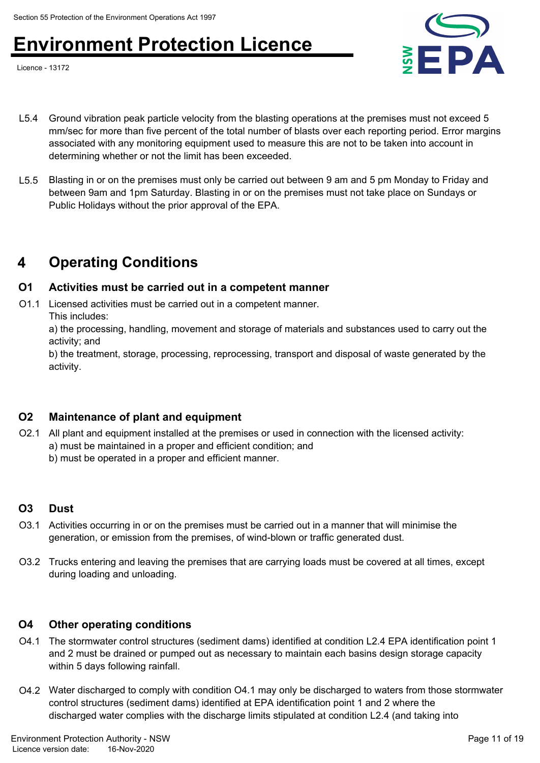Licence - 13172



- L5.4 Ground vibration peak particle velocity from the blasting operations at the premises must not exceed 5 mm/sec for more than five percent of the total number of blasts over each reporting period. Error margins associated with any monitoring equipment used to measure this are not to be taken into account in determining whether or not the limit has been exceeded.
- L5.5 Blasting in or on the premises must only be carried out between 9 am and 5 pm Monday to Friday and between 9am and 1pm Saturday. Blasting in or on the premises must not take place on Sundays or Public Holidays without the prior approval of the EPA.

## **4 Operating Conditions**

### **O1 Activities must be carried out in a competent manner**

O1.1 Licensed activities must be carried out in a competent manner. This includes:

a) the processing, handling, movement and storage of materials and substances used to carry out the activity; and

b) the treatment, storage, processing, reprocessing, transport and disposal of waste generated by the activity.

### **O2 Maintenance of plant and equipment**

- O2.1 All plant and equipment installed at the premises or used in connection with the licensed activity:
	- a) must be maintained in a proper and efficient condition; and
	- b) must be operated in a proper and efficient manner.

### **O3 Dust**

- O3.1 Activities occurring in or on the premises must be carried out in a manner that will minimise the generation, or emission from the premises, of wind-blown or traffic generated dust.
- O3.2 Trucks entering and leaving the premises that are carrying loads must be covered at all times, except during loading and unloading.

### **O4 Other operating conditions**

- O4.1 The stormwater control structures (sediment dams) identified at condition L2.4 EPA identification point 1 and 2 must be drained or pumped out as necessary to maintain each basins design storage capacity within 5 days following rainfall.
- O4.2 Water discharged to comply with condition O4.1 may only be discharged to waters from those stormwater control structures (sediment dams) identified at EPA identification point 1 and 2 where the discharged water complies with the discharge limits stipulated at condition L2.4 (and taking into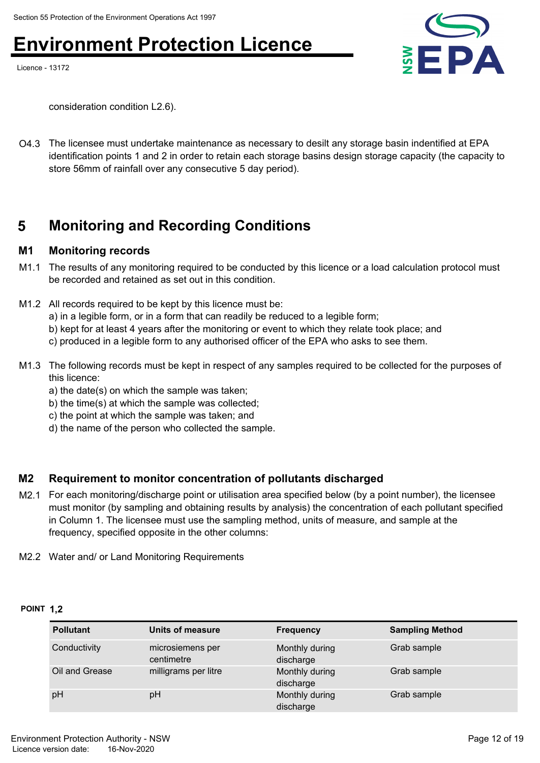Licence - 13172



consideration condition L2.6).

O4.3 The licensee must undertake maintenance as necessary to desilt any storage basin indentified at EPA identification points 1 and 2 in order to retain each storage basins design storage capacity (the capacity to store 56mm of rainfall over any consecutive 5 day period).

## **5 Monitoring and Recording Conditions**

### **M1 Monitoring records**

- M1.1 The results of any monitoring required to be conducted by this licence or a load calculation protocol must be recorded and retained as set out in this condition.
- M1.2 All records required to be kept by this licence must be:
	- a) in a legible form, or in a form that can readily be reduced to a legible form;
	- b) kept for at least 4 years after the monitoring or event to which they relate took place; and
	- c) produced in a legible form to any authorised officer of the EPA who asks to see them.
- M1.3 The following records must be kept in respect of any samples required to be collected for the purposes of this licence:
	- a) the date(s) on which the sample was taken;
	- b) the time(s) at which the sample was collected;
	- c) the point at which the sample was taken; and
	- d) the name of the person who collected the sample.

### **M2 Requirement to monitor concentration of pollutants discharged**

- M2.1 For each monitoring/discharge point or utilisation area specified below (by a point number), the licensee must monitor (by sampling and obtaining results by analysis) the concentration of each pollutant specified in Column 1. The licensee must use the sampling method, units of measure, and sample at the frequency, specified opposite in the other columns:
- M2.2 Water and/ or Land Monitoring Requirements

#### **POINT 1,2**

| <b>Pollutant</b> | Units of measure               | <b>Frequency</b>            | <b>Sampling Method</b> |
|------------------|--------------------------------|-----------------------------|------------------------|
| Conductivity     | microsiemens per<br>centimetre | Monthly during<br>discharge | Grab sample            |
| Oil and Grease   | milligrams per litre           | Monthly during<br>discharge | Grab sample            |
| pH               | pH                             | Monthly during<br>discharge | Grab sample            |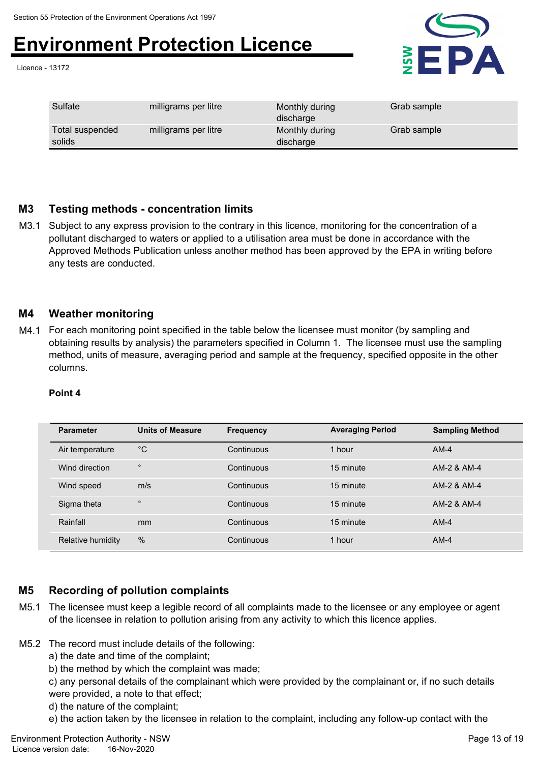Licence - 13172



| Sulfate                   | milligrams per litre | Monthly during<br>discharge | Grab sample |
|---------------------------|----------------------|-----------------------------|-------------|
| Total suspended<br>solids | milligrams per litre | Monthly during<br>discharge | Grab sample |

### **M3 Testing methods - concentration limits**

M3.1 Subject to any express provision to the contrary in this licence, monitoring for the concentration of a pollutant discharged to waters or applied to a utilisation area must be done in accordance with the Approved Methods Publication unless another method has been approved by the EPA in writing before any tests are conducted.

### **M4 Weather monitoring**

M4.1 For each monitoring point specified in the table below the licensee must monitor (by sampling and obtaining results by analysis) the parameters specified in Column 1. The licensee must use the sampling method, units of measure, averaging period and sample at the frequency, specified opposite in the other columns.

#### **Point 4**

| <b>Parameter</b>  | <b>Units of Measure</b> | <b>Frequency</b> | <b>Averaging Period</b> | <b>Sampling Method</b> |
|-------------------|-------------------------|------------------|-------------------------|------------------------|
| Air temperature   | $^{\circ}C$             | Continuous       | 1 hour                  | $AM-4$                 |
| Wind direction    | $\circ$                 | Continuous       | 15 minute               | AM-2 & AM-4            |
| Wind speed        | m/s                     | Continuous       | 15 minute               | AM-2 & AM-4            |
| Sigma theta       | $\circ$                 | Continuous       | 15 minute               | AM-2 & AM-4            |
| Rainfall          | mm                      | Continuous       | 15 minute               | $AM-4$                 |
| Relative humidity | %                       | Continuous       | 1 hour                  | $AM-4$                 |

### **M5 Recording of pollution complaints**

M5.1 The licensee must keep a legible record of all complaints made to the licensee or any employee or agent of the licensee in relation to pollution arising from any activity to which this licence applies.

#### M5.2 The record must include details of the following:

a) the date and time of the complaint;

b) the method by which the complaint was made;

c) any personal details of the complainant which were provided by the complainant or, if no such details were provided, a note to that effect;

d) the nature of the complaint;

e) the action taken by the licensee in relation to the complaint, including any follow-up contact with the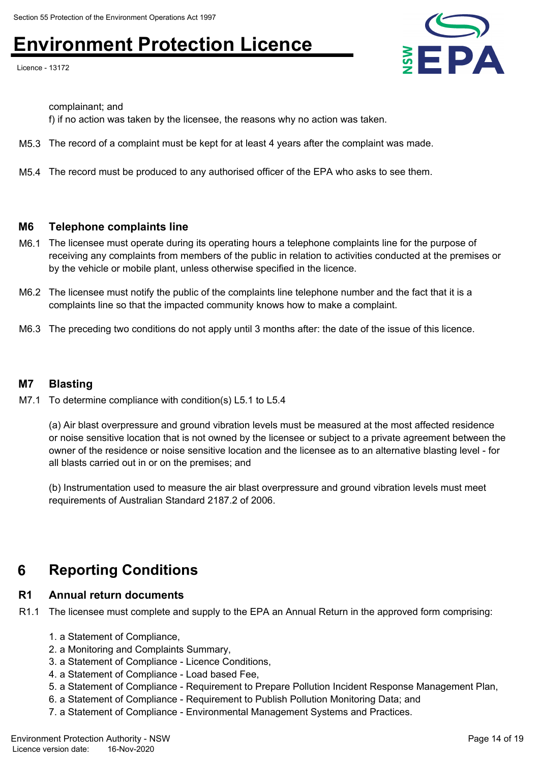Licence - 13172



complainant; and

f) if no action was taken by the licensee, the reasons why no action was taken.

- M5.3 The record of a complaint must be kept for at least 4 years after the complaint was made.
- M5.4 The record must be produced to any authorised officer of the EPA who asks to see them.

#### **M6 Telephone complaints line**

- M6.1 The licensee must operate during its operating hours a telephone complaints line for the purpose of receiving any complaints from members of the public in relation to activities conducted at the premises or by the vehicle or mobile plant, unless otherwise specified in the licence.
- M6.2 The licensee must notify the public of the complaints line telephone number and the fact that it is a complaints line so that the impacted community knows how to make a complaint.
- M6.3 The preceding two conditions do not apply until 3 months after: the date of the issue of this licence.

#### **M7 Blasting**

M7.1 To determine compliance with condition(s) L5.1 to L5.4

(a) Air blast overpressure and ground vibration levels must be measured at the most affected residence or noise sensitive location that is not owned by the licensee or subject to a private agreement between the owner of the residence or noise sensitive location and the licensee as to an alternative blasting level - for all blasts carried out in or on the premises; and

(b) Instrumentation used to measure the air blast overpressure and ground vibration levels must meet requirements of Australian Standard 2187.2 of 2006.

## **6 Reporting Conditions**

### **R1 Annual return documents**

- R1.1 The licensee must complete and supply to the EPA an Annual Return in the approved form comprising:
	- 1. a Statement of Compliance,
	- 2. a Monitoring and Complaints Summary,
	- 3. a Statement of Compliance Licence Conditions,
	- 4. a Statement of Compliance Load based Fee,
	- 5. a Statement of Compliance Requirement to Prepare Pollution Incident Response Management Plan,
	- 6. a Statement of Compliance Requirement to Publish Pollution Monitoring Data; and
	- 7. a Statement of Compliance Environmental Management Systems and Practices.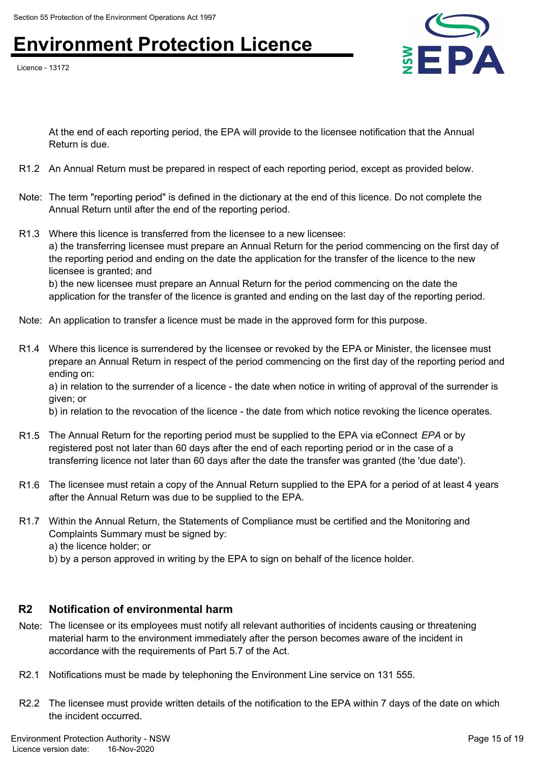Licence - 13172



At the end of each reporting period, the EPA will provide to the licensee notification that the Annual Return is due.

- R1.2 An Annual Return must be prepared in respect of each reporting period, except as provided below.
- Note: The term "reporting period" is defined in the dictionary at the end of this licence. Do not complete the Annual Return until after the end of the reporting period.
- R1.3 Where this licence is transferred from the licensee to a new licensee: a) the transferring licensee must prepare an Annual Return for the period commencing on the first day of the reporting period and ending on the date the application for the transfer of the licence to the new licensee is granted; and b) the new licensee must prepare an Annual Return for the period commencing on the date the application for the transfer of the licence is granted and ending on the last day of the reporting period.
- Note: An application to transfer a licence must be made in the approved form for this purpose.
- R1.4 Where this licence is surrendered by the licensee or revoked by the EPA or Minister, the licensee must prepare an Annual Return in respect of the period commencing on the first day of the reporting period and ending on: a) in relation to the surrender of a licence - the date when notice in writing of approval of the surrender is

given; or b) in relation to the revocation of the licence - the date from which notice revoking the licence operates.

- R1.5 The Annual Return for the reporting period must be supplied to the EPA via eConnect *EPA* or by registered post not later than 60 days after the end of each reporting period or in the case of a transferring licence not later than 60 days after the date the transfer was granted (the 'due date').
- R1.6 The licensee must retain a copy of the Annual Return supplied to the EPA for a period of at least 4 years after the Annual Return was due to be supplied to the EPA.
- R1.7 Within the Annual Return, the Statements of Compliance must be certified and the Monitoring and Complaints Summary must be signed by:
	- a) the licence holder; or
	- b) by a person approved in writing by the EPA to sign on behalf of the licence holder.

### **R2 Notification of environmental harm**

- Note: The licensee or its employees must notify all relevant authorities of incidents causing or threatening material harm to the environment immediately after the person becomes aware of the incident in accordance with the requirements of Part 5.7 of the Act.
- R2.1 Notifications must be made by telephoning the Environment Line service on 131 555.
- R2.2 The licensee must provide written details of the notification to the EPA within 7 days of the date on which the incident occurred.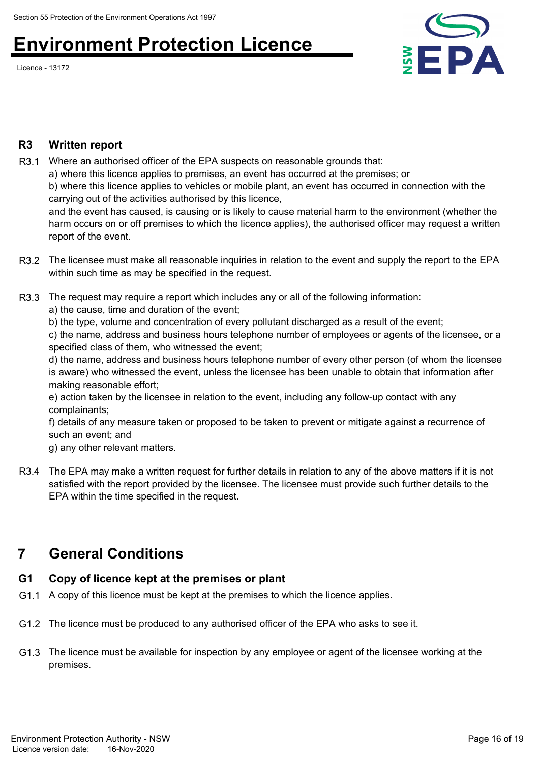Licence - 13172



#### **R3 Written report**

R3.1 Where an authorised officer of the EPA suspects on reasonable grounds that:

a) where this licence applies to premises, an event has occurred at the premises; or

b) where this licence applies to vehicles or mobile plant, an event has occurred in connection with the carrying out of the activities authorised by this licence,

and the event has caused, is causing or is likely to cause material harm to the environment (whether the harm occurs on or off premises to which the licence applies), the authorised officer may request a written report of the event.

- R3.2 The licensee must make all reasonable inquiries in relation to the event and supply the report to the EPA within such time as may be specified in the request.
- R3.3 The request may require a report which includes any or all of the following information:

a) the cause, time and duration of the event;

b) the type, volume and concentration of every pollutant discharged as a result of the event;

c) the name, address and business hours telephone number of employees or agents of the licensee, or a specified class of them, who witnessed the event;

d) the name, address and business hours telephone number of every other person (of whom the licensee is aware) who witnessed the event, unless the licensee has been unable to obtain that information after making reasonable effort;

e) action taken by the licensee in relation to the event, including any follow-up contact with any complainants;

f) details of any measure taken or proposed to be taken to prevent or mitigate against a recurrence of such an event; and

g) any other relevant matters.

R3.4 The EPA may make a written request for further details in relation to any of the above matters if it is not satisfied with the report provided by the licensee. The licensee must provide such further details to the EPA within the time specified in the request.

## **7 General Conditions**

### **G1 Copy of licence kept at the premises or plant**

- G1.1 A copy of this licence must be kept at the premises to which the licence applies.
- G1.2 The licence must be produced to any authorised officer of the EPA who asks to see it.
- G1.3 The licence must be available for inspection by any employee or agent of the licensee working at the premises.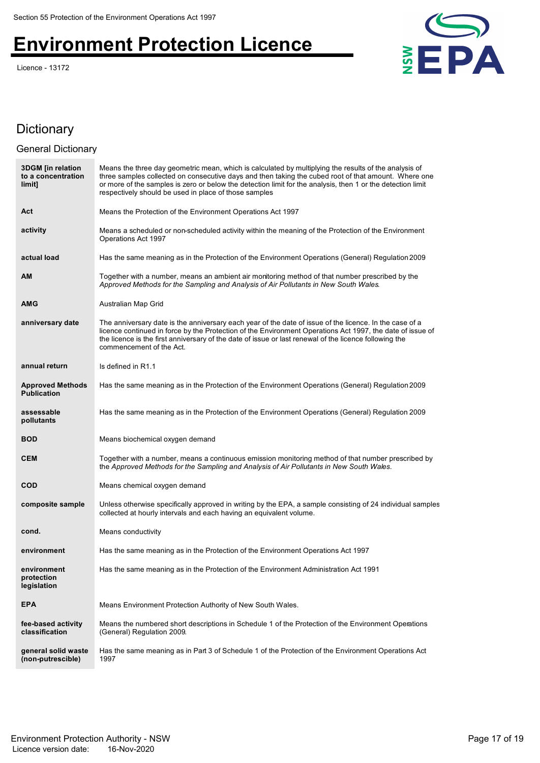Licence - 13172



### **Dictionary**

#### **3DGM [in relation to a concentration limit]** Means the three day geometric mean, which is calculated by multiplying the results of the analysis of three samples collected on consecutive days and then taking the cubed root of that amount. Where one or more of the samples is zero or below the detection limit for the analysis, then 1 or the detection limit respectively should be used in place of those samples **Act** Means the Protection of the Environment Operations Act 1997 **activity** Means a scheduled or non-scheduled activity within the meaning of the Protection of the Environment Operations Act 1997 **actual load** Has the same meaning as in the Protection of the Environment Operations (General) Regulation 2009 **AM** Together with a number, means an ambient air monitoring method of that number prescribed by the *Approved Methods for the Sampling and Analysis of Air Pollutants in New South Wales*. **AMG** Australian Map Grid **anniversary date** The anniversary date is the anniversary each year of the date of issue of the licence. In the case of a licence continued in force by the Protection of the Environment Operations Act 1997, the date of issue of the licence is the first anniversary of the date of issue or last renewal of the licence following the commencement of the Act. **annual return** Is defined in R1.1 **Approved Methods Publication** Has the same meaning as in the Protection of the Environment Operations (General) Regulation 2009 **assessable pollutants** Has the same meaning as in the Protection of the Environment Operations (General) Regulation 2009 **BOD** Means biochemical oxygen demand **CEM** Together with a number, means a continuous emission monitoring method of that number prescribed by the *Approved Methods for the Sampling and Analysis of Air Pollutants in New South Wales*. **COD** Means chemical oxygen demand **composite sample** Unless otherwise specifically approved in writing by the EPA, a sample consisting of 24 individual samples collected at hourly intervals and each having an equivalent volume. **cond.** Means conductivity **environment** Has the same meaning as in the Protection of the Environment Operations Act 1997 **environment protection legislation** Has the same meaning as in the Protection of the Environment Administration Act 1991 **EPA** Means Environment Protection Authority of New South Wales. **fee-based activity classification** Means the numbered short descriptions in Schedule 1 of the Protection of the Environment Operations (General) Regulation 2009. **general solid waste (non-putrescible)** Has the same meaning as in Part 3 of Schedule 1 of the Protection of the Environment Operations Act 1997 General Dictionary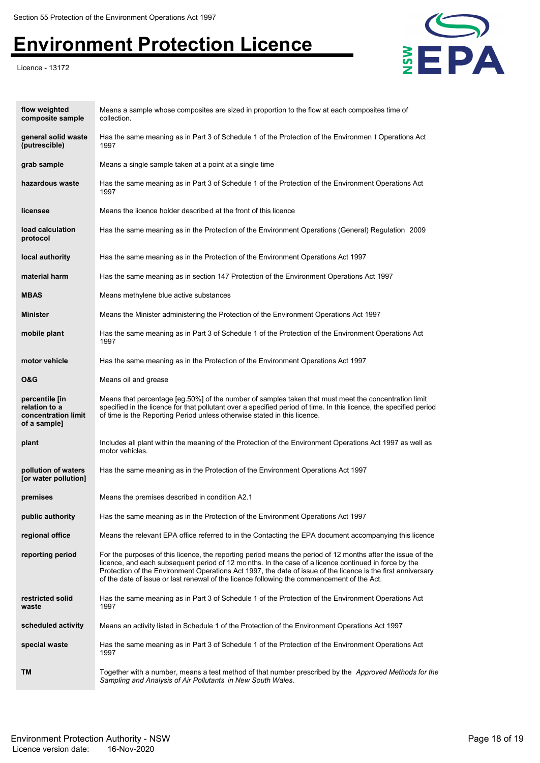Licence - 13172



| flow weighted<br>composite sample                                      | Means a sample whose composites are sized in proportion to the flow at each composites time of<br>collection.                                                                                                                                                                                                                                                                                                                     |
|------------------------------------------------------------------------|-----------------------------------------------------------------------------------------------------------------------------------------------------------------------------------------------------------------------------------------------------------------------------------------------------------------------------------------------------------------------------------------------------------------------------------|
| general solid waste<br>(putrescible)                                   | Has the same meaning as in Part 3 of Schedule 1 of the Protection of the Environmen t Operations Act<br>1997                                                                                                                                                                                                                                                                                                                      |
| grab sample                                                            | Means a single sample taken at a point at a single time                                                                                                                                                                                                                                                                                                                                                                           |
| hazardous waste                                                        | Has the same meaning as in Part 3 of Schedule 1 of the Protection of the Environment Operations Act<br>1997                                                                                                                                                                                                                                                                                                                       |
| licensee                                                               | Means the licence holder described at the front of this licence                                                                                                                                                                                                                                                                                                                                                                   |
| load calculation<br>protocol                                           | Has the same meaning as in the Protection of the Environment Operations (General) Regulation 2009                                                                                                                                                                                                                                                                                                                                 |
| local authority                                                        | Has the same meaning as in the Protection of the Environment Operations Act 1997                                                                                                                                                                                                                                                                                                                                                  |
| material harm                                                          | Has the same meaning as in section 147 Protection of the Environment Operations Act 1997                                                                                                                                                                                                                                                                                                                                          |
| <b>MBAS</b>                                                            | Means methylene blue active substances                                                                                                                                                                                                                                                                                                                                                                                            |
| <b>Minister</b>                                                        | Means the Minister administering the Protection of the Environment Operations Act 1997                                                                                                                                                                                                                                                                                                                                            |
| mobile plant                                                           | Has the same meaning as in Part 3 of Schedule 1 of the Protection of the Environment Operations Act<br>1997                                                                                                                                                                                                                                                                                                                       |
| motor vehicle                                                          | Has the same meaning as in the Protection of the Environment Operations Act 1997                                                                                                                                                                                                                                                                                                                                                  |
| O&G                                                                    | Means oil and grease                                                                                                                                                                                                                                                                                                                                                                                                              |
| percentile [in<br>relation to a<br>concentration limit<br>of a sample] | Means that percentage [eg.50%] of the number of samples taken that must meet the concentration limit<br>specified in the licence for that pollutant over a specified period of time. In this licence, the specified period<br>of time is the Reporting Period unless otherwise stated in this licence.                                                                                                                            |
| plant                                                                  | Includes all plant within the meaning of the Protection of the Environment Operations Act 1997 as well as<br>motor vehicles.                                                                                                                                                                                                                                                                                                      |
| pollution of waters<br>[or water pollution]                            | Has the same meaning as in the Protection of the Environment Operations Act 1997                                                                                                                                                                                                                                                                                                                                                  |
| premises                                                               | Means the premises described in condition A2.1                                                                                                                                                                                                                                                                                                                                                                                    |
| public authority                                                       | Has the same meaning as in the Protection of the Environment Operations Act 1997                                                                                                                                                                                                                                                                                                                                                  |
| regional office                                                        | Means the relevant EPA office referred to in the Contacting the EPA document accompanying this licence                                                                                                                                                                                                                                                                                                                            |
| reporting period                                                       | For the purposes of this licence, the reporting period means the period of 12 months after the issue of the<br>licence, and each subsequent period of 12 months. In the case of a licence continued in force by the<br>Protection of the Environment Operations Act 1997, the date of issue of the licence is the first anniversary<br>of the date of issue or last renewal of the licence following the commencement of the Act. |
| restricted solid<br>waste                                              | Has the same meaning as in Part 3 of Schedule 1 of the Protection of the Environment Operations Act<br>1997                                                                                                                                                                                                                                                                                                                       |
| scheduled activity                                                     | Means an activity listed in Schedule 1 of the Protection of the Environment Operations Act 1997                                                                                                                                                                                                                                                                                                                                   |
| special waste                                                          | Has the same meaning as in Part 3 of Schedule 1 of the Protection of the Environment Operations Act<br>1997                                                                                                                                                                                                                                                                                                                       |
| TM                                                                     | Together with a number, means a test method of that number prescribed by the Approved Methods for the<br>Sampling and Analysis of Air Pollutants in New South Wales.                                                                                                                                                                                                                                                              |